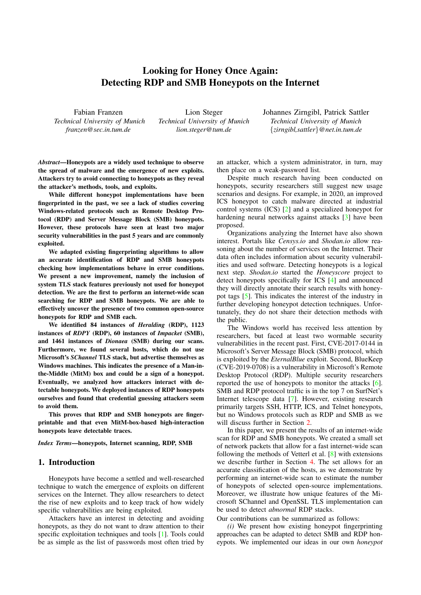# Looking for Honey Once Again: Detecting RDP and SMB Honeypots on the Internet

Fabian Franzen *Technical University of Munich franzen@sec.in.tum.de*

Lion Steger *Technical University of Munich lion.steger@tum.de*

Johannes Zirngibl, Patrick Sattler *Technical University of Munich* {*zirngibl,sattler*}*@net.in.tum.de*

*Abstract*—Honeypots are a widely used technique to observe the spread of malware and the emergence of new exploits. Attackers try to avoid connecting to honeypots as they reveal the attacker's methods, tools, and exploits.

While different honeypot implementations have been fingerprinted in the past, we see a lack of studies covering Windows-related protocols such as Remote Desktop Protocol (RDP) and Server Message Block (SMB) honeypots. However, these protocols have seen at least two major security vulnerabilities in the past 5 years and are commonly exploited.

We adapted existing fingerprinting algorithms to allow an accurate identification of RDP and SMB honeypots checking how implementations behave in error conditions. We present a new improvement, namely the inclusion of system TLS stack features previously not used for honeypot detection. We are the first to perform an internet-wide scan searching for RDP and SMB honeypots. We are able to effectively uncover the presence of two common open-source honeypots for RDP and SMB each.

We identified 84 instances of *Heralding* (RDP), 1123 instances of *RDPY* (RDP), 60 instances of *Impacket* (SMB), and 1461 instances of *Dionaea* (SMB) during our scans. Furthermore, we found several hosts, which do not use Microsoft's *SChannel* TLS stack, but advertise themselves as Windows machines. This indicates the presence of a Man-inthe-Middle (MitM) box and could be a sign of a honeypot. Eventually, we analyzed how attackers interact with detectable honeypots. We deployed instances of RDP honeypots ourselves and found that credential guessing attackers seem to avoid them.

This proves that RDP and SMB honeypots are fingerprintable and that even MitM-box-based high-interaction honeypots leave detectable traces.

*Index Terms*—honeypots, Internet scanning, RDP, SMB

# 1. Introduction

Honeypots have become a settled and well-researched technique to watch the emergence of exploits on different services on the Internet. They allow researchers to detect the rise of new exploits and to keep track of how widely specific vulnerabilities are being exploited.

Attackers have an interest in detecting and avoiding honeypots, as they do not want to draw attention to their specific exploitation techniques and tools [\[1\]](#page-10-0). Tools could be as simple as the list of passwords most often tried by

an attacker, which a system administrator, in turn, may then place on a weak-password list.

Despite much research having been conducted on honeypots, security researchers still suggest new usage scenarios and designs. For example, in 2020, an improved ICS honeypot to catch malware directed at industrial control systems (ICS) [\[2\]](#page-10-1) and a specialized honeypot for hardening neural networks against attacks [\[3\]](#page-10-2) have been proposed.

Organizations analyzing the Internet have also shown interest. Portals like *Censys.io* and *Shodan.io* allow reasoning about the number of services on the Internet. Their data often includes information about security vulnerabilities and used software. Detecting honeypots is a logical next step. *Shodan.io* started the *Honeyscore* project to detect honeypots specifically for ICS [\[4\]](#page-10-3) and announced they will directly annotate their search results with honeypot tags [\[5\]](#page-10-4). This indicates the interest of the industry in further developing honeypot detection techniques. Unfortunately, they do not share their detection methods with the public.

The Windows world has received less attention by researchers, but faced at least two wormable security vulnerabilities in the recent past. First, CVE-2017-0144 in Microsoft's Server Message Block (SMB) protocol, which is exploited by the *EternalBlue* exploit. Second, BlueKeep (CVE-2019-0708) is a vulnerability in Microsoft's Remote Desktop Protocol (RDP). Multiple security researchers reported the use of honeypots to monitor the attacks [\[6\]](#page-10-5). SMB and RDP protocol traffic is in the top 7 on SurfNet's Internet telescope data [\[7\]](#page-10-6). However, existing research primarily targets SSH, HTTP, ICS, and Telnet honeypots, but no Windows protocols such as RDP and SMB as we will discuss further in Section [2.](#page-1-0)

In this paper, we present the results of an internet-wide scan for RDP and SMB honeypots. We created a small set of network packets that allow for a fast internet-wide scan following the methods of Vetterl et al. [\[8\]](#page-10-7) with extensions we describe further in Section [4.](#page-3-0) The set allows for an accurate classification of the hosts, as we demonstrate by performing an internet-wide scan to estimate the number of honeypots of selected open-source implementations. Moreover, we illustrate how unique features of the Microsoft SChannel and OpenSSL TLS implementation can be used to detect *abnormal* RDP stacks.

Our contributions can be summarized as follows:

*(i)* We present how existing honeypot fingerprinting approaches can be adapted to detect SMB and RDP honeypots. We implemented our ideas in our own *honeypot*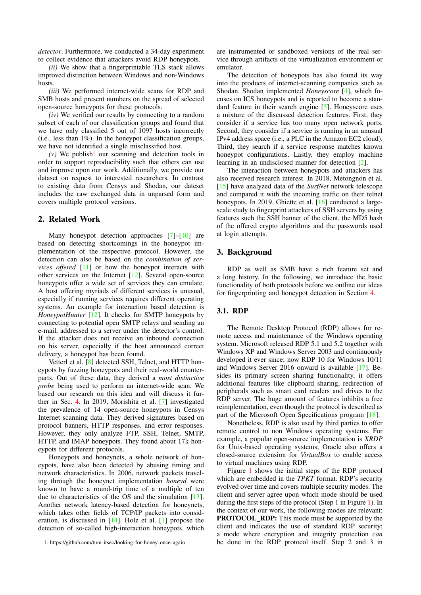*detector*. Furthermore, we conducted a 34-day experiment to collect evidence that attackers avoid RDP honeypots.

*(ii)* We show that a fingerprintable TLS stack allows improved distinction between Windows and non-Windows hosts.

*(iii)* We performed internet-wide scans for RDP and SMB hosts and present numbers on the spread of selected open-source honeypots for these protocols.

*(iv)* We verified our results by connecting to a random subset of each of our classification groups and found that we have only classified 5 out of 1097 hosts incorrectly (i.e., less than  $1\%$ ). In the honeypot classification groups, we have not identified a single misclassified host.

 $(v)$  We publish<sup>[1](#page-1-1)</sup> our scanning and detection tools in order to support reproducibility such that others can use and improve upon our work. Additionally, we provide our dataset on request to interested researchers. In contrast to existing data from Censys and Shodan, our dateset includes the raw exchanged data in unparsed form and covers multiple protocol versions.

# <span id="page-1-0"></span>2. Related Work

Many honeypot detection approaches [\[7\]](#page-10-6)–[\[10\]](#page-10-8) are based on detecting shortcomings in the honeypot implementation of the respective protocol. However, the detection can also be based on the *combination of services offered* [\[11\]](#page-10-9) or how the honeypot interacts with other services on the Internet [\[12\]](#page-10-10). Several open-source honeypots offer a wide set of services they can emulate. A host offering myriads of different services is unusual, especially if running services requires different operating systems. An example for interaction based detection is *HoneypotHunter* [\[12\]](#page-10-10). It checks for SMTP honeypots by connecting to potential open SMTP relays and sending an e-mail, addressed to a server under the detector's control. If the attacker does not receive an inbound connection on his server, especially if the host announced correct delivery, a honeypot has been found.

Vetterl et al. [\[8\]](#page-10-7) detected SSH, Telnet, and HTTP honeypots by fuzzing honeypots and their real-world counterparts. Out of these data, they derived a *most distinctive probe* being used to perform an internet-wide scan. We based our research on this idea and will discuss it further in Sec. [4.](#page-3-0) In 2019, Morishita et al. [\[7\]](#page-10-6) investigated the prevalence of 14 open-source honeypots in Censys Internet scanning data. They derived signatures based on protocol banners, HTTP responses, and error responses. However, they only analyze FTP, SSH, Telnet, SMTP, HTTP, and IMAP honeypots. They found about 17k honeypots for different protocols.

Honeypots and honeynets, a whole network of honeypots, have also been detected by abusing timing and network characteristics. In 2006, network packets traveling through the honeynet implementation *honeyd* were known to have a round-trip time of a multiple of ten due to characteristics of the OS and the simulation [\[13\]](#page-10-11). Another network latency-based detection for honeynets, which takes other fields of TCP/IP packets into consideration, is discussed in [\[14\]](#page-10-12). Holz et al. [\[1\]](#page-10-0) propose the detection of so-called high-interaction honeypots, which

are instrumented or sandboxed versions of the real service through artifacts of the virtualization environment or emulator.

The detection of honeypots has also found its way into the products of internet-scanning companies such as Shodan. Shodan implemented *Honeyscore* [\[4\]](#page-10-3), which focuses on ICS honeypots and is reported to become a standard feature in their search engine [\[5\]](#page-10-4). Honeyscore uses a mixture of the discussed detection features. First, they consider if a service has too many open network ports. Second, they consider if a service is running in an unusual IPv4 address space (i.e., a PLC in the Amazon EC2 cloud). Third, they search if a service response matches known honeypot configurations. Lastly, they employ machine learning in an undisclosed manner for detection [\[2\]](#page-10-1).

The interaction between honeypots and attackers has also received research interest. In 2018, Metongnon et al. [\[15\]](#page-10-13) have analyzed data of the *SurfNet* network telescope and compared it with the incoming traffic on their telnet honeypots. In 2019, Ghiette et al. [\[16\]](#page-10-14) conducted a largescale study to fingerprint attackers of SSH servers by using features such the SSH banner of the client, the MD5 hash of the offered crypto algorithms and the passwords used at login attempts.

# 3. Background

RDP as well as SMB have a rich feature set and a long history. In the following, we introduce the basic functionality of both protocols before we outline our ideas for fingerprinting and honeypot detection in Section [4.](#page-3-0)

#### <span id="page-1-2"></span>3.1. RDP

The Remote Desktop Protocol (RDP) allows for remote access and maintenance of the Windows operating system. Microsoft released RDP 5.1 and 5.2 together with Windows XP and Windows Server 2003 and continuously developed it ever since; now RDP 10 for Windows 10/11 and Windows Server 2016 onward is available [\[17\]](#page-10-15). Besides its primary screen sharing functionality, it offers additional features like clipboard sharing, redirection of peripherals such as smart card readers and drives to the RDP server. The huge amount of features inhibits a free reimplementation, even though the protocol is described as part of the Microsoft Open Specifications program [\[18\]](#page-10-16).

Nonetheless, RDP is also used by third parties to offer remote control to non Windows operating systems. For example, a popular open-source implementation is *XRDP* for Unix-based operating systems; Oracle also offers a closed-source extension for *VirtualBox* to enable access to virtual machines using RDP.

Figure [1](#page-2-0) shows the initial steps of the RDP protocol which are embedded in the *TPKT* format. RDP's security evolved over time and covers multiple security modes. The client and server agree upon which mode should be used during the first steps of the protocol (Step 1 in Figure [1\)](#page-2-0). In the context of our work, the following modes are relevant: PROTOCOL RDP: This mode must be supported by the client and indicates the use of standard RDP security; a mode where encryption and integrity protection *can* be done in the RDP protocol itself. Step 2 and 3 in

<span id="page-1-1"></span><sup>1.</sup> <https://github.com/tum-itsec/looking-for-honey-once-again>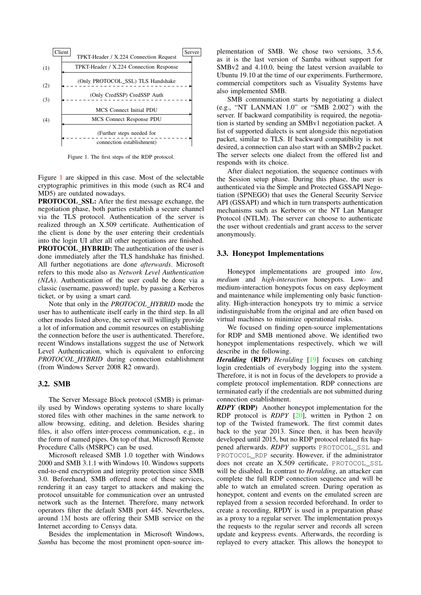

<span id="page-2-0"></span>Figure 1. The first steps of the RDP protocol.

Figure [1](#page-2-0) are skipped in this case. Most of the selectable cryptographic primitives in this mode (such as RC4 and MD5) are outdated nowadays.

PROTOCOL SSL: After the first message exchange, the negotiation phase, both parties establish a secure channel via the TLS protocol. Authentication of the server is realized through an X.509 certificate. Authentication of the client is done by the user entering their credentials into the login UI after all other negotiations are finished. PROTOCOL HYBRID: The authentication of the user is done immediately after the TLS handshake has finished. All further negotiations are done *afterwards*. Microsoft refers to this mode also as *Network Level Authentication (NLA)*. Authentication of the user could be done via a classic (username, password) tuple, by passing a Kerberos ticket, or by using a smart card.

Note that only in the *PROTOCOL HYBRID* mode the user has to authenticate itself early in the third step. In all other modes listed above, the server will willingly provide a lot of information and commit resources on establishing the connection before the user is authenticated. Therefore, recent Windows installations suggest the use of Network Level Authentication, which is equivalent to enforcing *PROTOCOL HYBRID* during connection establishment (from Windows Server 2008 R2 onward).

#### 3.2. SMB

The Server Message Block protocol (SMB) is primarily used by Windows operating systems to share locally stored files with other machines in the same network to allow browsing, editing, and deletion. Besides sharing files, it also offers inter-process communication, e.g., in the form of named pipes. On top of that, Microsoft Remote Procedure Calls (MSRPC) can be used.

Microsoft released SMB 1.0 together with Windows 2000 and SMB 3.1.1 with Windows 10. Windows supports end-to-end encryption and integrity protection since SMB 3.0. Beforehand, SMB offered none of these services, rendering it an easy target to attackers and making the protocol unsuitable for communication over an untrusted network such as the Internet. Therefore, many network operators filter the default SMB port 445. Nevertheless, around 1M hosts are offering their SMB service on the Internet according to Censys data.

Besides the implementation in Microsoft Windows, *Samba* has become the most prominent open-source implementation of SMB. We chose two versions, 3.5.6, as it is the last version of Samba without support for SMBv2 and 4.10.0, being the latest version available to Ubuntu 19.10 at the time of our experiments. Furthermore, commercial competitors such as Visuality Systems have also implemented SMB.

SMB communication starts by negotiating a dialect (e.g., "NT LANMAN 1.0" or "SMB 2.002") with the server. If backward compatibility is required, the negotiation is started by sending an SMBv1 negotiation packet. A list of supported dialects is sent alongside this negotiation packet, similar to TLS. If backward compatibility is not desired, a connection can also start with an SMBv2 packet. The server selects one dialect from the offered list and responds with its choice.

After dialect negotiation, the sequence continues with the Session setup phase. During this phase, the user is authenticated via the Simple and Protected GSSAPI Negotiation (SPNEGO) that uses the General Security Service API (GSSAPI) and which in turn transports authentication mechanisms such as Kerberos or the NT Lan Manager Protocol (NTLM). The server can choose to authenticate the user without credentials and grant access to the server anonymously.

#### 3.3. Honeypot Implementations

Honeypot implementations are grouped into *low*, *medium* and *high-interaction* honeypots. Low- and medium-interaction honeypots focus on easy deployment and maintenance while implementing only basic functionality. High-interaction honeypots try to mimic a service indistinguishable from the original and are often based on virtual machines to minimize operational risks.

We focused on finding open-source implementations for RDP and SMB mentioned above. We identified two honeypot implementations respectively, which we will describe in the following.

*Heralding* (RDP) *Heralding* [\[19\]](#page-10-17) focuses on catching login credentials of everybody logging into the system. Therefore, it is not in focus of the developers to provide a complete protocol implementation. RDP connections are terminated early if the credentials are not submitted during connection establishment.

*RDPY* (RDP) Another honeypot implementation for the RDP protocol is *RDPY* [\[20\]](#page-10-18), written in Python 2 on top of the Twisted framework. The first commit dates back to the year 2013. Since then, it has been heavily developed until 2015, but no RDP protocol related fix happened afterwards. *RDPY* supports PROTOCOL\_SSL and PROTOCOL RDP security. However, if the administrator does not create an X.509 certificate, PROTOCOL\_SSL will be disabled. In contrast to *Heralding*, an attacker can complete the full RDP connection sequence and will be able to watch an emulated screen. During operation as honeypot, content and events on the emulated screen are replayed from a session recorded beforehand. In order to create a recording, RPDY is used in a preparation phase as a proxy to a regular server. The implementation proxys the requests to the regular server and records all screen update and keypress events. Afterwards, the recording is replayed to every attacker. This allows the honeypot to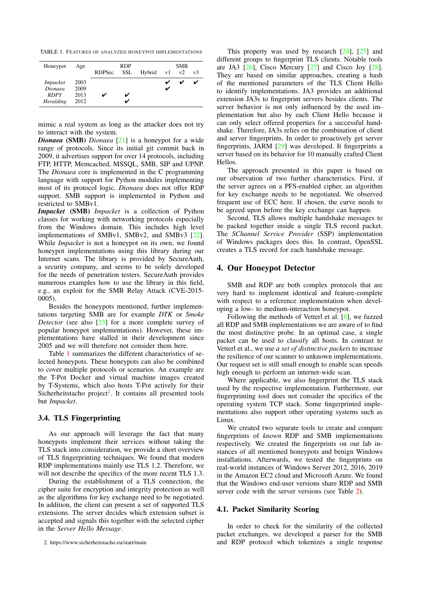<span id="page-3-1"></span>TABLE 1. FEATURES OF ANALYZED HONEYPOT IMPLEMENTATIONS

| Honeypot        | Age  | RDP<br><b>SSL</b><br>Hybrid v1<br>RDPSec |  |  |  | <b>SMB</b><br>v2<br>v3 |   |  |  |
|-----------------|------|------------------------------------------|--|--|--|------------------------|---|--|--|
|                 |      |                                          |  |  |  |                        |   |  |  |
| <i>Impacket</i> | 2003 |                                          |  |  |  |                        | ✓ |  |  |
| Dionaea         | 2009 |                                          |  |  |  |                        |   |  |  |
| <b>RDPY</b>     | 2013 |                                          |  |  |  |                        |   |  |  |
| Heralding       | 2012 |                                          |  |  |  |                        |   |  |  |

mimic a real system as long as the attacker does not try to interact with the system.

*Dionaea* (SMB) *Dionaea* [\[21\]](#page-10-19) is a honeypot for a wide range of protocols. Since its initial git commit back in 2009, it advertises support for over 14 protocols, including FTP, HTTP, Memcached, MSSQL, SMB, SIP and UPNP. The *Dionaea* core is implemented in the C programming language with support for Python modules implementing most of its protocol logic. *Dionaea* does not offer RDP support. SMB support is implemented in Python and restricted to SMBv1.

*Impacket* (SMB) *Impacket* is a collection of Python classes for working with networking protocols especially from the Windows domain. This includes high level implementations of SMBv1, SMBv2, and SMBv3 [\[22\]](#page-10-20). While *Impacket* is not a honeypot on its own, we found honeypot implementations using this library during our Internet scans. The library is provided by SecureAuth, a security company, and seems to be solely developed for the needs of penetration testers. SecureAuth provides numerous examples how to use the library in this field, e.g., an exploit for the SMB Relay Attack (CVE-2015- 0005).

Besides the honeypots mentioned, further implementations targeting SMB are for example *DTK* or *Smoke Detector* (see also [\[23\]](#page-10-21) for a more complete survey of popular honeypot implementations). However, these implementations have stalled in their development since 2005 and we will therefore not consider them here.

Table [1](#page-3-1) summarizes the different characteristics of selected honeypots. These honeypots can also be combined to cover multiple protocols or scenarios. An example are the T-Pot Docker and virtual machine images created by T-Systems, which also hosts T-Pot actively for their Sicherheitstacho project<sup>[2](#page-3-2)</sup>. It contains all presented tools but *Impacket*.

#### <span id="page-3-3"></span>3.4. TLS Fingerprinting

As our approach will leverage the fact that many honeypots implement their services without taking the TLS stack into consideration, we provide a short overview of TLS fingerprinting techniques. We found that modern RDP implementations mainly use TLS 1.2. Therefore, we will not describe the specifics of the more recent TLS 1.3.

During the establishment of a TLS connection, the cipher suite for encryption and integrity protection as well as the algorithms for key exchange need to be negotiated. In addition, the client can present a set of supported TLS extensions. The server decides which extension subset is accepted and signals this together with the selected cipher in the *Server Hello Message*.

This property was used by research [\[24\]](#page-10-22), [\[25\]](#page-10-23) and different groups to fingerprint TLS clients. Notable tools are JA3 [\[26\]](#page-10-24), Cisco Mercury [\[27\]](#page-10-25) and Cisco Joy [\[28\]](#page-10-26). They are based on similar approaches, creating a hash of the mentioned parameters of the TLS Client Hello to identify implementations. JA3 provides an additional extension JA3s to fingerprint servers besides clients. The server behavior is not only influenced by the used implementation but also by each Client Hello because it can only select offered properties for a successful handshake. Therefore, JA3s relies on the combination of client and server fingerprints. In order to proactively get server fingerprints, JARM [\[29\]](#page-10-27) was developed. It fingerprints a server based on its behavior for 10 manually crafted Client Hellos.

The approach presented in this paper is based on our observation of two further characteristics. First, if the server agrees on a PFS-enabled cipher, an algorithm for key exchange needs to be negotiated. We observed frequent use of ECC here. If chosen, the curve needs to be agreed upon before the key exchange can happen.

Second, TLS allows multiple handshake messages to be packed together inside a single TLS record packet. The *SChannel Service Provider* (SSP) implementation of Windows packages does this. In contrast, OpenSSL creates a TLS record for each handshake message.

# <span id="page-3-0"></span>4. Our Honeypot Detector

SMB and RDP are both complex protocols that are very hard to implement identical and feature-complete with respect to a reference implementation when developing a low- to medium-interaction honeypot.

Following the methods of Vetterl et al. [\[8\]](#page-10-7), we fuzzed all RDP and SMB implementations we are aware of to find the most distinctive probe. In an optimal case, a single packet can be used to classify all hosts. In contrast to Vetterl et al., we use *a set of distinctive packets* to increase the resilience of our scanner to unknown implementations. Our request set is still small enough to enable scan speeds high enough to perform an internet-wide scan.

Where applicable, we also fingerprint the TLS stack used by the respective implementation. Furthermore, our fingerprinting tool does not consider the specifics of the operating system TCP stack. Some fingerprinted implementations also support other operating systems such as Linux.

We created two separate tools to create and compare fingerprints of *known* RDP and SMB implementations respectively. We created the fingerprints on our lab instances of all mentioned honeypots and benign Windows installations. Afterwards, we tested the fingerprints on real-world instances of Windows Server 2012, 2016, 2019 in the Amazon EC2 cloud and Microsoft Azure. We found that the Windows end-user versions share RDP and SMB server code with the server versions (see Table [2\)](#page-4-0).

#### 4.1. Packet Similarity Scoring

In order to check for the similarity of the collected packet exchanges, we developed a parser for the SMB and RDP protocol which tokenizes a single response

<span id="page-3-2"></span><sup>2.</sup> <https://www.sicherheitstacho.eu/start/main>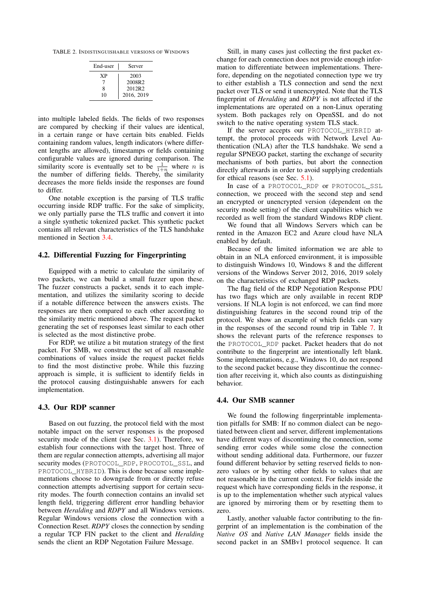TABLE 2. INDISTINGUISHABLE VERSIONS OF WINDOWS

<span id="page-4-0"></span>

| End-user | Server     |
|----------|------------|
| ХP       | 2003       |
|          | 2008R2     |
| 8        | 2012R2     |
| 10       | 2016, 2019 |

into multiple labeled fields. The fields of two responses are compared by checking if their values are identical, in a certain range or have certain bits enabled. Fields containing random values, length indicators (where different lengths are allowed), timestamps or fields containing configurable values are ignored during comparison. The similarity score is eventually set to be  $\frac{1}{1+n}$  where *n* is the number of differing fields. Thereby, the similarity decreases the more fields inside the responses are found to differ.

One notable exception is the parsing of TLS traffic occurring inside RDP traffic. For the sake of simplicity, we only partially parse the TLS traffic and convert it into a single synthetic tokenized packet. This synthetic packet contains all relevant characteristics of the TLS handshake mentioned in Section [3.4.](#page-3-3)

#### 4.2. Differential Fuzzing for Fingerprinting

Equipped with a metric to calculate the similarity of two packets, we can build a small fuzzer upon these. The fuzzer constructs a packet, sends it to each implementation, and utilizes the similarity scoring to decide if a notable difference between the answers exists. The responses are then compared to each other according to the similarity metric mentioned above. The request packet generating the set of responses least similar to each other is selected as the most distinctive probe.

For RDP, we utilize a bit mutation strategy of the first packet. For SMB, we construct the set of all reasonable combinations of values inside the request packet fields to find the most distinctive probe. While this fuzzing approach is simple, it is sufficient to identify fields in the protocol causing distinguishable answers for each implementation.

# 4.3. Our RDP scanner

Based on out fuzzing, the protocol field with the most notable impact on the server responses is the proposed security mode of the client (see Sec. [3.1\)](#page-1-2). Therefore, we establish four connections with the target host. Three of them are regular connection attempts, advertising all major security modes (PROTOCOL\_RDP, PROCOTOL\_SSL, and PROTOCOL\_HYBRID). This is done because some implementations choose to downgrade from or directly refuse connection attempts advertising support for certain security modes. The fourth connection contains an invalid set length field, triggering different error handling behavior between *Heralding* and *RDPY* and all Windows versions. Regular Windows versions close the connection with a Connection Reset. *RDPY* closes the connection by sending a regular TCP FIN packet to the client and *Heralding* sends the client an RDP Negotation Failure Message.

Still, in many cases just collecting the first packet exchange for each connection does not provide enough information to differentiate between implementations. Therefore, depending on the negotiated connection type we try to either establish a TLS connection and send the next packet over TLS or send it unencrypted. Note that the TLS fingerprint of *Heralding* and *RDPY* is not affected if the implementations are operated on a non-Linux operating system. Both packages rely on OpenSSL and do not switch to the native operating system TLS stack.

If the server accepts our PROTOCOL HYBRID attempt, the protocol proceeds with Network Level Authentication (NLA) after the TLS handshake. We send a regular SPNEGO packet, starting the exchange of security mechanisms of both parties, but abort the connection directly afterwards in order to avoid supplying credentials for ethical reasons (see Sec. [5.1\)](#page-5-0).

In case of a PROTOCOL\_RDP or PROTOCOL\_SSL connection, we proceed with the second step and send an encrypted or unencrypted version (dependent on the security mode setting) of the client capabilities which we recorded as well from the standard Windows RDP client.

We found that all Windows Servers which can be rented in the Amazon EC2 and Azure cloud have NLA enabled by default.

Because of the limited information we are able to obtain in an NLA enforced environment, it is impossible to distinguish Windows 10, Windows 8 and the different versions of the Windows Server 2012, 2016, 2019 solely on the characteristics of exchanged RDP packets.

The flag field of the RDP Negotiation Response PDU has two flags which are only available in recent RDP versions. If NLA login is not enforced, we can find more distinguishing features in the second round trip of the protocol. We show an example of which fields can vary in the responses of the second round trip in Table [7.](#page-11-0) It shows the relevant parts of the reference responses to the PROTOCOL\_RDP packet. Packet headers that do not contribute to the fingerprint are intentionally left blank. Some implementations, e.g., Windows 10, do not respond to the second packet because they discontinue the connection after receiving it, which also counts as distinguishing behavior.

#### 4.4. Our SMB scanner

We found the following fingerprintable implementation pitfalls for SMB: If no common dialect can be negotiated between client and server, different implementations have different ways of discontinuing the connection, some sending error codes while some close the connection without sending additional data. Furthermore, our fuzzer found different behavior by setting reserved fields to nonzero values or by setting other fields to values that are not reasonable in the current context. For fields inside the request which have corresponding fields in the response, it is up to the implementation whether such atypical values are ignored by mirroring them or by resetting them to zero.

Lastly, another valuable factor contributing to the fingerprint of an implementation is the combination of the *Native OS* and *Native LAN Manager* fields inside the second packet in an SMBv1 protocol sequence. It can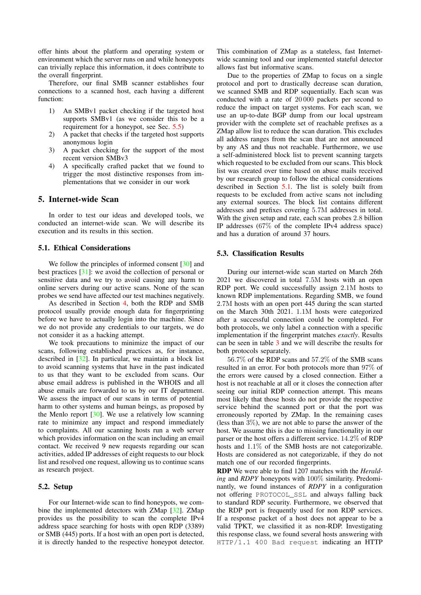offer hints about the platform and operating system or environment which the server runs on and while honeypots can trivially replace this information, it does contribute to the overall fingerprint.

Therefore, our final SMB scanner establishes four connections to a scanned host, each having a different function:

- 1) An SMBv1 packet checking if the targeted host supports SMBv1 (as we consider this to be a requirement for a honeypot, see Sec. [5.5\)](#page-7-0)
- 2) A packet that checks if the targeted host supports anonymous login
- 3) A packet checking for the support of the most recent version SMBv3
- 4) A specifically crafted packet that we found to trigger the most distinctive responses from implementations that we consider in our work

# 5. Internet-wide Scan

In order to test our ideas and developed tools, we conducted an internet-wide scan. We will describe its execution and its results in this section.

# <span id="page-5-0"></span>5.1. Ethical Considerations

We follow the principles of informed consent [\[30\]](#page-10-28) and best practices [\[31\]](#page-10-29): we avoid the collection of personal or sensitive data and we try to avoid causing any harm to online servers during our active scans. None of the scan probes we send have affected our test machines negatively.

As described in Section [4,](#page-3-0) both the RDP and SMB protocol usually provide enough data for fingerprinting before we have to actually login into the machine. Since we do not provide any credentials to our targets, we do not consider it as a hacking attempt.

We took precautions to minimize the impact of our scans, following established practices as, for instance, described in [\[32\]](#page-10-30). In particular, we maintain a block list to avoid scanning systems that have in the past indicated to us that they want to be excluded from scans. Our abuse email address is published in the WHOIS and all abuse emails are forwarded to us by our IT department. We assess the impact of our scans in terms of potential harm to other systems and human beings, as proposed by the Menlo report [\[30\]](#page-10-28). We use a relatively low scanning rate to minimize any impact and respond immediately to complaints. All our scanning hosts run a web server which provides information on the scan including an email contact. We received 9 new requests regarding our scan activities, added IP addresses of eight requests to our block list and resolved one request, allowing us to continue scans as research project.

#### 5.2. Setup

For our Internet-wide scan to find honeypots, we combine the implemented detectors with ZMap [\[32\]](#page-10-30). ZMap provides us the possibility to scan the complete IPv4 address space searching for hosts with open RDP (3389) or SMB (445) ports. If a host with an open port is detected, it is directly handed to the respective honeypot detector.

This combination of ZMap as a stateless, fast Internetwide scanning tool and our implemented stateful detector allows fast but informative scans.

Due to the properties of ZMap to focus on a single protocol and port to drastically decrease scan duration, we scanned SMB and RDP sequentially. Each scan was conducted with a rate of 20 000 packets per second to reduce the impact on target systems. For each scan, we use an up-to-date BGP dump from our local upstream provider with the complete set of reachable prefixes as a ZMap allow list to reduce the scan duration. This excludes all address ranges from the scan that are not announced by any AS and thus not reachable. Furthermore, we use a self-administered block list to prevent scanning targets which requested to be excluded from our scans. This block list was created over time based on abuse mails received by our research group to follow the ethical considerations described in Section [5.1.](#page-5-0) The list is solely built from requests to be excluded from active scans not including any external sources. The block list contains different addresses and prefixes covering 5.7M addresses in total. With the given setup and rate, each scan probes 2.8 billion IP addresses (67% of the complete IPv4 address space) and has a duration of around 37 hours.

#### 5.3. Classification Results

During our internet-wide scan started on March 26th 2021 we discovered in total 7.5M hosts with an open RDP port. We could successfully assign 2.1M hosts to known RDP implementations. Regarding SMB, we found 2.7M hosts with an open port 445 during the scan started on the March 30th 2021. 1.1M hosts were categorized after a successful connection could be completed. For both protocols, we only label a connection with a specific implementation if the fingerprint matches *exactly*. Results can be seen in table [3](#page-6-0) and we will describe the results for both protocols separately.

56.7% of the RDP scans and 57.2% of the SMB scans resulted in an error. For both protocols more than 97% of the errors were caused by a closed connection. Either a host is not reachable at all or it closes the connection after seeing our initial RDP connection attempt. This means most likely that those hosts do not provide the respective service behind the scanned port or that the port was erroneously reported by ZMap. In the remaining cases (less than 3%), we are not able to parse the answer of the host. We assume this is due to missing functionality in our parser or the host offers a different service. 14.2% of RDP hosts and 1.1% of the SMB hosts are not categorizable. Hosts are considered as not categorizable, if they do not match one of our recorded fingerprints.

RDP We were able to find 1207 matches with the *Heralding* and *RDPY* honeypots with 100% similarity. Predominantly, we found instances of *RDPY* in a configuration not offering PROTOCOL\_SSL and always falling back to standard RDP security. Furthermore, we observed that the RDP port is frequently used for non RDP services. If a response packet of a host does not appear to be a valid TPKT, we classified it as non-RDP. Investigating this response class, we found several hosts answering with HTTP/1.1 400 Bad request indicating an HTTP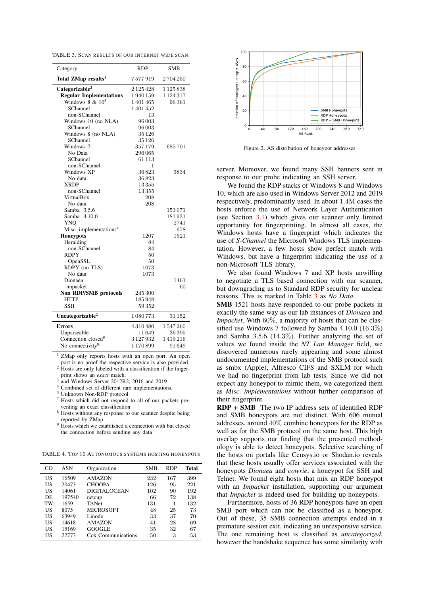<span id="page-6-0"></span>TABLE 3. SCAN RESULTS OF OUR INTERNET WIDE SCAN.

| Category                           | <b>RDP</b>    | <b>SMB</b>    |
|------------------------------------|---------------|---------------|
| Total ZMap results <sup>1</sup>    | 7577919       | 2704250       |
| Categorizable <sup>2</sup>         | 2125428       | 1125838       |
| <b>Regular Implementations</b>     | 1940159       | 1 1 2 4 3 1 7 |
| Windows $8 \& 10^3$                | 1401465       | 96361         |
| SChannel                           | 1 401 452     |               |
| non-SChannel                       | 13            |               |
| Windows 10 (no NLA)                | 96003         |               |
| SChannel                           | 96 003        |               |
| Windows 8 (no NLA)                 | 35 1 26       |               |
| SChannel                           | 35 1 26       |               |
| Windows 7                          | 357179        | 685701        |
| No Data                            | 296 065       |               |
| SChannel                           | 61 1 1 3      |               |
| non-SChannel                       | 1             |               |
| Windows XP                         | 36823         | 3834          |
| No data                            | 36823         |               |
| <b>XRDP</b>                        | 13355         |               |
| non-SChannel                       | 13355         |               |
| VirtualBox                         | 208           |               |
| No data                            | 208           |               |
| Samba 3.5.6                        |               | 153071        |
| Samba 4.10.0                       |               | 181931        |
| <b>YNO</b>                         |               | 2741          |
| Misc. implementations <sup>4</sup> |               | 678           |
| <b>Honeypots</b>                   | 1207          | 1521          |
| Heralding                          | 84            |               |
| non-SChannel                       | 84            |               |
| <b>RDPY</b>                        | 50            |               |
| OpenSSL                            | 50            |               |
| RDPY (no TLS)                      | 1073          |               |
| No data                            | 1073          |               |
| Dionaea                            |               | 1461          |
| impacket                           |               | 60            |
| Non RDP/SMB protocols              | 245 300       |               |
| <b>HTTP</b>                        | 185948        |               |
| SSH                                | 59352         |               |
| Uncategorizable <sup>2</sup>       | 1080773       | 31 152        |
| <b>Errors</b>                      | 4310480       | 1547260       |
| Unparseable                        | 11 649        | 36395         |
| Connection closed <sup>9</sup>     | 3 1 2 7 9 3 2 | 1419216       |
| No connectivity <sup>8</sup>       | 1170899       | 91649         |

<sup>1</sup> ZMap only reports hosts with an open port. An open port is no proof the respective service is also provided. <sup>2</sup> Hosts are only labeled with a classification if the finger-

print shows an *exact* match.

3 and Windows Server 2012R2, 2016 and 2019

<sup>4</sup> Combined set of different rare implementations.

<sup>5</sup> Unknown Non-RDP protocol

Hosts which did not respond to all of our packets pre-

venting an exact classification <sup>8</sup> Hosts without any response to our scanner despite being reported by ZMap

<sup>9</sup> Hosts which we established a connection with but closed the connection before sending any data

<span id="page-6-2"></span>TABLE 4. TOP 10 AUTONOMOUS SYSTEMS HOSTING HONEYPOTS

| CO  | <b>ASN</b> | Organization       | SMB | RDP | <b>Total</b> |
|-----|------------|--------------------|-----|-----|--------------|
| US  | 16509      | <b>AMAZON</b>      | 232 | 167 | 399          |
| US  | 20473      | <b>CHOOPA</b>      | 126 | 95  | 221          |
| US  | 14061      | DIGITAL OCEAN      | 102 | 90  | 192          |
| DE. | 197540     | netcup             | 66  | 72  | 138          |
| TW  | 1659       | <b>TANet</b>       | 131 |     | 132          |
| US  | 8075       | <b>MICROSOFT</b>   | 48  | 25  | 73           |
| US  | 63949      | Linode             | 33  | 37  | 70           |
| US  | 14618      | <b>AMAZON</b>      | 41  | 28  | 69           |
| US  | 15169      | <b>GOOGLE</b>      | 35  | 32  | 67           |
| US  | 22773      | Cox Communications | 50  | 3   | 53           |



<span id="page-6-1"></span>Figure 2. AS distribution of honeypot addresses

server. Moreover, we found many SSH banners sent in response to our probe indicating an SSH server.

We found the RDP stacks of Windows 8 and Windows 10, which are also used in Windows Server 2012 and 2019 respectively, predominantly used. In about 1.4M cases the hosts enforce the use of Network Layer Authentication (see Section [3.1\)](#page-1-2) which gives our scanner only limited opportunity for fingerprinting. In almost all cases, the Windows hosts have a fingerprint which indicates the use of *S-Channel* the Microsoft Windows TLS implementation. However, a few hosts show perfect match with Windows, but have a fingerprint indicating the use of a non-Microsoft TLS library.

We also found Windows 7 and XP hosts unwilling to negotiate a TLS based connection with our scanner, but downgrading us to Standard RDP security for unclear reasons. This is marked in Table [3](#page-6-0) as *No Data*.

SMB 1521 hosts have responded to our probe packets in exactly the same way as our lab instances of *Dionaea* and *Impacket*. With 60%, a majority of hosts that can be classified use Windows 7 followed by Samba 4.10.0 (16.3%) and Samba 3.5.6 (14.3%). Further analyzing the set of values we found inside the *NT Lan Manager* field, we discovered numerous rarely appearing and some almost undocumented implementations of the SMB protocol such as smbx (Apple), Alfresco CIFS and SXLM for which we had no fingerprint from lab tests. Since we did not expect any honeypot to mimic them, we categorized them as *Misc. implementations* without further comparison of their fingerprint.

RDP + SMB The two IP address sets of identified RDP and SMB honeypots are not distinct. With 606 mutual addresses, around 40% combine honeypots for the RDP as well as for the SMB protocol on the same host. This high overlap supports our finding that the presented methodology is able to detect honeypots. Selective searching of the hosts on portals like Censys.io or Shodan.io reveals that these hosts usually offer services associated with the honeypots *Dionaea* and *cowrie*, a honeypot for SSH and Telnet. We found eight hosts that mix an RDP honeypot with an *Impacket* installation, supporting our argument that *Impacket* is indeed used for building up honeypots.

Furthermore, hosts of 36 RDP honeypots have an open SMB port which can not be classified as a honeypot. Out of these, 35 SMB connection attempts ended in a premature session exit, indicating an unresponsive service. The one remaining host is classified as *uncategorized*, however the handshake sequence has some similarity with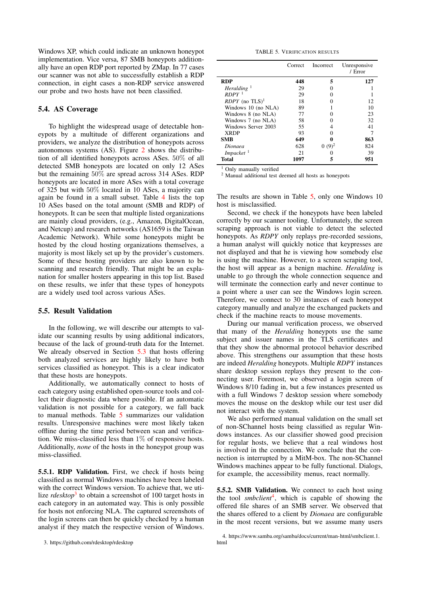Windows XP, which could indicate an unknown honeypot implementation. Vice versa, 87 SMB honeypots additionally have an open RDP port reported by ZMap. In 77 cases our scanner was not able to successfully establish a RDP connection, in eight cases a non-RDP service answered our probe and two hosts have not been classified.

## 5.4. AS Coverage

To highlight the widespread usage of detectable honeypots by a multitude of different organizations and providers, we analyze the distribution of honeypots across autonomous systems (AS). Figure [2](#page-6-1) shows the distribution of all identified honeypots across ASes. 50% of all detected SMB honeypots are located on only 12 ASes but the remaining 50% are spread across 314 ASes. RDP honeypots are located in more ASes with a total coverage of 325 but with 50% located in 10 ASes, a majority can again be found in a small subset. Table [4](#page-6-2) lists the top 10 ASes based on the total amount (SMB and RDP) of honeypots. It can be seen that multiple listed organizations are mainly cloud providers, (e.g., Amazon, DigitalOcean, and Netcup) and research networks (AS1659 is the Taiwan Academic Network). While some honeypots might be hosted by the cloud hosting organizations themselves, a majority is most likely set up by the provider's customers. Some of these hosting providers are also known to be scanning and research friendly. That might be an explanation for smaller hosters appearing in this top list. Based on these results, we infer that these types of honeypots are a widely used tool across various ASes.

#### <span id="page-7-0"></span>5.5. Result Validation

In the following, we will describe our attempts to validate our scanning results by using additional indicators, because of the lack of ground-truth data for the Internet. We already observed in Section [5.3](#page-6-1) that hosts offering both analyzed services are highly likely to have both services classified as honeypot. This is a clear indicator that these hosts are honeypots.

Additionally, we automatically connect to hosts of each category using established open-source tools and collect their diagnostic data where possible. If an automatic validation is not possible for a category, we fall back to manual methods. Table [5](#page-7-1) summarizes our validation results. Unresponsive machines were most likely taken offline during the time period between scan and verification. We miss-classified less than 1% of responsive hosts. Additionally, *none* of the hosts in the honeypot group was miss-classified.

5.5.1. RDP Validation. First, we check if hosts being classified as normal Windows machines have been labeled with the correct Windows version. To achieve that, we utilize *rdesktop*<sup>[3](#page-7-2)</sup> to obtain a screenshot of 100 target hosts in each category in an automated way. This is only possible for hosts not enforcing NLA. The captured screenshots of the login screens can then be quickly checked by a human analyst if they match the respective version of Windows.

<span id="page-7-1"></span>TABLE 5. VERIFICATION RESULTS

|                              | Correct | Incorrect | Unresponsive<br>/ Error |
|------------------------------|---------|-----------|-------------------------|
| <b>RDP</b>                   | 448     | 5         | 127                     |
| Heralding $1$                | 29      |           |                         |
| $RDPY$ <sup>1</sup>          | 29      |           |                         |
| $RDPY$ (no TLS) <sup>1</sup> | 18      |           | 12                      |
| Windows 10 (no NLA)          | 89      |           | 10                      |
| Windows 8 (no NLA)           | 77      |           | 23                      |
| Windows 7 (no NLA)           | 58      |           | 32                      |
| Windows Server 2003          | 55      |           | 41                      |
| <b>XRDP</b>                  | 93      |           |                         |
| <b>SMB</b>                   | 649     |           | 863                     |
| Dionaea                      | 628     | $(9)^2$   | 824                     |
| $Impacket$ <sup>1</sup>      | 21      |           | 39                      |
| Total                        | 1097    |           | 951                     |

<sup>1</sup> Only manually verified

<sup>2</sup> Manual additional test deemed all hosts as honeypots

The results are shown in Table [5,](#page-7-1) only one Windows 10 host is misclassified.

Second, we check if the honeypots have been labeled correctly by our scanner tooling. Unfortunately, the screen scraping approach is not viable to detect the selected honeypots. As *RDPY* only replays pre-recorded sessions, a human analyst will quickly notice that keypresses are not displayed and that he is viewing how somebody else is using the machine. However, to a screen scraping tool, the host will appear as a benign machine. *Heralding* is unable to go through the whole connection sequence and will terminate the connection early and never continue to a point where a user can see the Windows login screen. Therefore, we connect to 30 instances of each honeypot category manually and analyze the exchanged packets and check if the machine reacts to mouse movements.

During our manual verification process, we observed that many of the *Heralding* honeypots use the same subject and issuer names in the TLS certificates and that they show the abnormal protocol behavior described above. This strengthens our assumption that these hosts are indeed *Heralding* honeypots. Multiple *RDPY* instances share desktop session replays they present to the connecting user. Foremost, we observed a login screen of Windows 8/10 fading in, but a few instances presented us with a full Windows 7 desktop session where somebody moves the mouse on the desktop while our test user did not interact with the system.

We also performed manual validation on the small set of non-SChannel hosts being classified as regular Windows instances. As our classifier showed good precision for regular hosts, we believe that a real windows host is involved in the connection. We conclude that the connection is interrupted by a MitM-box. The non-SChannel Windows machines appear to be fully functional. Dialogs, for example, the accessibility menus, react normally.

5.5.2. SMB Validation. We connect to each host using the tool *smbclient*[4](#page-7-3) , which is capable of showing the offered file shares of an SMB server. We observed that the shares offered to a client by *Dionaea* are configurable in the most recent versions, but we assume many users

<span id="page-7-2"></span><sup>3.</sup> <https://github.com/rdesktop/rdesktop>

<span id="page-7-3"></span><sup>4.</sup> [https://www.samba.org/samba/docs/current/man-html/smbclient.1.](https://www.samba.org/samba/docs/current/man-html/smbclient.1.html) [html](https://www.samba.org/samba/docs/current/man-html/smbclient.1.html)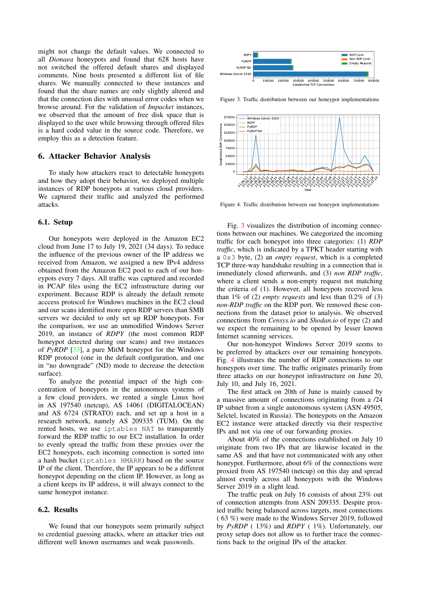might not change the default values. We connected to all *Dionaea* honeypots and found that 628 hosts have not switched the offered default shares and displayed comments. Nine hosts presented a different list of file shares. We manually connected to these instances and found that the share names are only slightly altered and that the connection dies with unusual error codes when we browse around. For the validation of *Impacket* instances, we observed that the amount of free disk space that is displayed to the user while browsing through offered files is a hard coded value in the source code. Therefore, we employ this as a detection feature.

#### <span id="page-8-2"></span>6. Attacker Behavior Analysis

To study how attackers react to detectable honeypots and how they adopt their behavior, we deployed multiple instances of RDP honeypots at various cloud providers. We captured their traffic and analyzed the performed attacks.

#### 6.1. Setup

Our honeypots were deployed in the Amazon EC2 cloud from June 17 to July 19, 2021 (34 days). To reduce the influence of the previous owner of the IP address we received from Amazon, we assigned a new IPv4 address obtained from the Amazon EC2 pool to each of our honeypots every 7 days. All traffic was captured and recorded in PCAP files using the EC2 infrastructure during our experiment. Because RDP is already the default remote acccess protocol for Windows machines in the EC2 cloud and our scans identified more open RDP servers than SMB servers we decided to only set up RDP honeypots. For the comparison, we use an unmodified Windows Server 2019, an instance of *RDPY* (the most common RDP honeypot detected during our scans) and two instances of *PyRDP* [\[33\]](#page-10-31), a pure MitM honeypot for the Windows RDP protocol (one in the default configuration, and one in "no downgrade" (ND) mode to decrease the detection surface).

To analyze the potential impact of the high concentration of honeypots in the autonomous systems of a few cloud providers, we rented a single Linux host in AS 197540 (netcup), AS 14061 (DIGITALOCEAN) and AS 6724 (STRATO) each, and set up a host in a research network, namely AS 209335 (TUM). On the rented hosts, we use iptables NAT to transparently forward the RDP traffic to our EC2 installation. In order to evenly spread the traffic from these proxies over the EC2 honeypots, each incoming connection is sorted into a hash bucket (iptables HMARK) based on the source IP of the client. Therefore, the IP appears to be a different honeypot depending on the client IP. However, as long as a client keeps its IP address, it will always connect to the same honeypot instance.

## 6.2. Results

We found that our honeypots seem primarily subject to credential guessing attacks, where an attacker tries out different well known usernames and weak passwords.



<span id="page-8-0"></span>Figure 3. Traffic distribution between our honeypot implementations



<span id="page-8-1"></span>Figure 4. Traffic distribution between our honeypot implementations

Fig. [3](#page-8-0) visualizes the distribution of incoming connections between our machines. We categorized the incoming traffic for each honeypot into three categories: (1) *RDP traffic*, which is indicated by a TPKT header starting with a 0x3 byte, (2) an *empty request*, which is a completed TCP three-way handshake resulting in a connection that is immediately closed afterwards, and (3) *non RDP traffic*, where a client sends a non-empty request not matching the criteria of (1). However, all honeypots received less than 1% of (2) *empty requests* and less than 0.2% of (3) *non-RDP traffic* on the RDP port. We removed these connections from the dataset prior to analysis. We observed connections from *Censys.io* and *Shodan.io* of type (2) and we expect the remaining to be opened by lesser known Internet scanning services.

Our non-honeypot Windows Server 2019 seems to be preferred by attackers over our remaining honeypots. Fig. [4](#page-8-1) illustrates the number of RDP connections to our honeypots over time. The traffic originates primarily from three attacks on our honeypot infrastructure on June 20, July 10, and July 16, 2021.

The first attack on 20th of June is mainly caused by a massive amount of connections originating from a /24 IP subnet from a single autonomous system (ASN 49505, Selctel, located in Russia). The honeypots on the Amazon EC2 instance were attacked directly via their respective IPs and not via one of our forwarding proxies.

About 40% of the connections established on July 10 originate from two IPs that are likewise located in the same AS and that have not communicated with any other honeypot. Furthermore, about 6% of the connections were proxied from AS 197540 (netcup) on this day and spread almost evenly across all honeypots with the Windows Server 2019 in a slight lead.

The traffic peak on July 16 consists of about 23% out of connection attempts from ASN 209335. Despite proxied traffic being balanced across targets, most connections ( 63 %) were made to the Windows Server 2019, followed by *PyRDP* ( 13%) and *RDPY* ( 1%). Unfortunately, our proxy setup does not allow us to further trace the connections back to the original IPs of the attacker.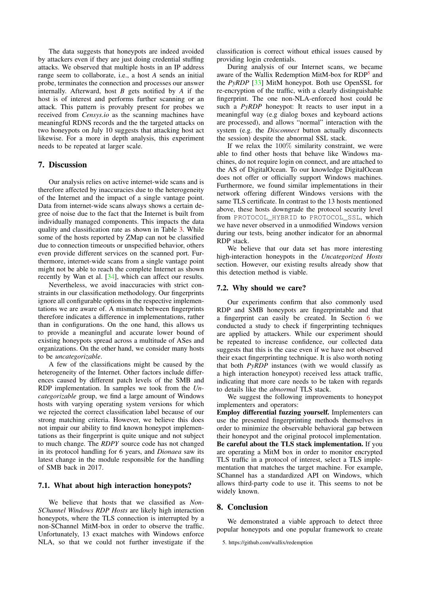The data suggests that honeypots are indeed avoided by attackers even if they are just doing credential stuffing attacks. We observed that multiple hosts in an IP address range seem to collaborate, i.e., a host *A* sends an initial probe, terminates the connection and processes our answer internally. Afterward, host *B* gets notified by *A* if the host is of interest and performs further scanning or an attack. This pattern is provably present for probes we received from *Censys.io* as the scanning machines have meaningful RDNS records and the the targeted attacks on two honeypots on July 10 suggests that attacking host act likewise. For a more in depth analysis, this experiment needs to be repeated at larger scale.

#### 7. Discussion

Our analysis relies on active internet-wide scans and is therefore affected by inaccuracies due to the heterogeneity of the Internet and the impact of a single vantage point. Data from internet-wide scans always shows a certain degree of noise due to the fact that the Internet is built from individually managed components. This impacts the data quality and classification rate as shown in Table [3.](#page-6-0) While some of the hosts reported by ZMap can not be classified due to connection timeouts or unspecified behavior, others even provide different services on the scanned port. Furthermore, internet-wide scans from a single vantage point might not be able to reach the complete Internet as shown recently by Wan et al. [\[34\]](#page-10-32), which can affect our results.

Nevertheless, we avoid inaccuracies with strict constraints in our classification methodology. Our fingerprints ignore all configurable options in the respective implementations we are aware of. A mismatch between fingerprints therefore indicates a difference in implementations, rather than in configurations. On the one hand, this allows us to provide a meaningful and accurate lower bound of existing honeypots spread across a multitude of ASes and organizations. On the other hand, we consider many hosts to be *uncategorizable*.

A few of the classifications might be caused by the heterogeneity of the Internet. Other factors include differences caused by different patch levels of the SMB and RDP implementation. In samples we took from the *Uncategorizable* group, we find a large amount of Windows hosts with varying operating system versions for which we rejected the correct classification label because of our strong matching criteria. However, we believe this does not impair our ability to find known honeypot implementations as their fingerprint is quite unique and not subject to much change. The *RDPY* source code has not changed in its protocol handling for 6 years, and *Dionaea* saw its latest change in the module responsible for the handling of SMB back in 2017.

#### 7.1. What about high interaction honeypots?

We believe that hosts that we classified as *Non-SChannel Windows RDP Hosts* are likely high interaction honeypots, where the TLS connection is interrupted by a non-SChannel MitM-box in order to observe the traffic. Unfortunately, 13 exact matches with Windows enforce NLA, so that we could not further investigate if the classification is correct without ethical issues caused by providing login credentials.

During analysis of our Internet scans, we became aware of the Wallix Redemption MitM-box for RDP<sup>[5](#page-9-0)</sup> and the *PyRDP* [\[33\]](#page-10-31) MitM honeypot. Both use OpenSSL for re-encryption of the traffic, with a clearly distinguishable fingerprint. The one non-NLA-enforced host could be such a *PyRDP* honeypot: It reacts to user input in a meaningful way (e.g dialog boxes and keyboard actions are processed), and allows "normal" interaction with the system (e.g. the *Disconnect* button actually disconnects the session) despite the abnormal SSL stack.

If we relax the  $100\%$  similarity constraint, we were able to find other hosts that behave like Windows machines, do not require login on connect, and are attached to the AS of DigitalOcean. To our knowledge DigitalOcean does not offer or officially support Windows machines. Furthermore, we found similar implementations in their network offering different Windows versions with the same TLS certificate. In contrast to the 13 hosts mentioned above, these hosts downgrade the protocol security level from PROTOCOL\_HYBRID to PROTOCOL\_SSL, which we have never observed in a unmodified Windows version during our tests, being another indicator for an abnormal RDP stack.

We believe that our data set has more interesting high-interaction honeypots in the *Uncategorized Hosts* section. However, our existing results already show that this detection method is viable.

#### 7.2. Why should we care?

Our experiments confirm that also commonly used RDP and SMB honeypots are fingerprintable and that a fingerprint can easily be created. In Section [6](#page-8-2) we conducted a study to check if fingerprinting techniques are applied by attackers. While our experiment should be repeated to increase confidence, our collected data suggests that this is the case even if we have not observed their exact fingerprinting technique. It is also worth noting that both *PyRDP* instances (with we would classify as a high interaction honeypot) received less attack traffic, indicating that more care needs to be taken with regards to details like the *abnormal* TLS stack.

We suggest the following improvements to honeypot implementers and operators:

Employ differential fuzzing yourself. Implementers can use the presented fingerprinting methods themselves in order to minimize the observable behavioral gap between their honeypot and the original protocol implementation. Be careful about the TLS stack implementation. If you are operating a MitM box in order to monitor encrypted TLS traffic in a protocol of interest, select a TLS implementation that matches the target machine. For example, SChannel has a standardized API on Windows, which allows third-party code to use it. This seems to not be widely known.

## 8. Conclusion

We demonstrated a viable approach to detect three popular honeypots and one popular framework to create

<span id="page-9-0"></span><sup>5.</sup> <https://github.com/wallix/redemption>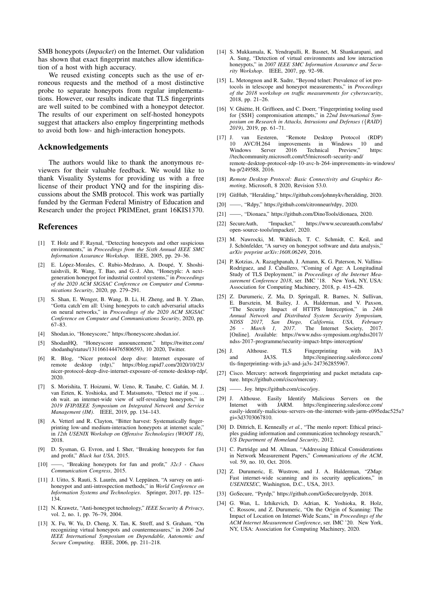SMB honeypots (*Impacket*) on the Internet. Our validation has shown that exact fingerprint matches allow identification of a host with high accuracy.

We reused existing concepts such as the use of erroneous requests and the method of a most distinctive probe to separate honeypots from regular implementations. However, our results indicate that TLS fingerprints are well suited to be combined with a honeypot detector. The results of our experiment on self-hosted honeypots suggest that attackers also employ fingerprinting methods to avoid both low- and high-interaction honeypots.

## Acknowledgements

The authors would like to thank the anonymous reviewers for their valuable feedback. We would like to thank Visuality Systems for providing us with a free license of their product YNQ and for the inspiring discussions about the SMB protocol. This work was partially funded by the German Federal Ministry of Education and Research under the project PRIMEnet, grant 16KIS1370.

#### References

- <span id="page-10-0"></span>[1] T. Holz and F. Raynal, "Detecting honeypots and other suspicious environments," in *Proceedings from the Sixth Annual IEEE SMC Information Assurance Workshop*. IEEE, 2005, pp. 29–36.
- <span id="page-10-1"></span>[2] E. López-Morales, C. Rubio-Medrano, A. Doupé, Y. Shoshitaishvili, R. Wang, T. Bao, and G.-J. Ahn, "Honeyplc: A nextgeneration honeypot for industrial control systems," in *Proceedings of the 2020 ACM SIGSAC Conference on Computer and Communications Security*, 2020, pp. 279–291.
- <span id="page-10-2"></span>[3] S. Shan, E. Wenger, B. Wang, B. Li, H. Zheng, and B. Y. Zhao, "Gotta catch'em all: Using honeypots to catch adversarial attacks on neural networks," in *Proceedings of the 2020 ACM SIGSAC Conference on Computer and Communications Security*, 2020, pp. 67–83.
- <span id="page-10-3"></span>[4] Shodan.io, "Honeyscore," [https://honeyscore.shodan.io/.](https://honeyscore.shodan.io/)
- <span id="page-10-4"></span>[5] ShodanHQ, "Honeyscore announcement," [https://twitter.com/](https://twitter.com/shodanhq/status/1311661444765806593) [shodanhq/status/1311661444765806593,](https://twitter.com/shodanhq/status/1311661444765806593) 10 2020, Twitter.
- <span id="page-10-5"></span>[6] R. Blog, "Nicer protocol deep dive: Internet exposure of remote desktop (rdp)," [https://blog.rapid7.com/2020/10/23/](https://blog.rapid7.com/2020/10/23/nicer-protocol-deep-dive-internet-exposure-of-remote-desktop-rdp/) [nicer-protocol-deep-dive-internet-exposure-of-remote-desktop-rdp/,](https://blog.rapid7.com/2020/10/23/nicer-protocol-deep-dive-internet-exposure-of-remote-desktop-rdp/) 2020.
- <span id="page-10-6"></span>[7] S. Morishita, T. Hoizumi, W. Ueno, R. Tanabe, C. Gañán, M. J. van Eeten, K. Yoshioka, and T. Matsumoto, "Detect me if you. . . oh wait. an internet-wide view of self-revealing honeypots," in *2019 IFIP/IEEE Symposium on Integrated Network and Service Management (IM)*. IEEE, 2019, pp. 134–143.
- <span id="page-10-7"></span>[8] A. Vetterl and R. Clayton, "Bitter harvest: Systematically fingerprinting low-and medium-interaction honeypots at internet scale," in *12th USENIX Workshop on Offensive Technologies (WOOT 18)*, 2018.
- [9] D. Sysman, G. Evron, and I. Sher, "Breaking honeypots for fun and profit," *Black hat USA*, 2015.
- <span id="page-10-8"></span>[10] ——, "Breaking honeypots for fun and profit," *32c3 - Chaos Communication Congress*, 2015.
- <span id="page-10-9"></span>[11] J. Uitto, S. Rauti, S. Laurén, and V. Leppänen, "A survey on antihoneypot and anti-introspection methods," in *World Conference on Information Systems and Technologies*. Springer, 2017, pp. 125– 134.
- <span id="page-10-10"></span>[12] N. Krawetz, "Anti-honeypot technology," *IEEE Security & Privacy*, vol. 2, no. 1, pp. 76–79, 2004.
- <span id="page-10-11"></span>[13] X. Fu, W. Yu, D. Cheng, X. Tan, K. Streff, and S. Graham, "On recognizing virtual honeypots and countermeasures," in *2006 2nd IEEE International Symposium on Dependable, Autonomic and Secure Computing*. IEEE, 2006, pp. 211–218.
- <span id="page-10-12"></span>[14] S. Mukkamala, K. Yendrapalli, R. Basnet, M. Shankarapani, and A. Sung, "Detection of virtual environments and low interaction honeypots," in *2007 IEEE SMC Information Assurance and Security Workshop*. IEEE, 2007, pp. 92–98.
- <span id="page-10-13"></span>[15] L. Metongnon and R. Sadre, "Beyond telnet: Prevalence of iot protocols in telescope and honeypot measurements," in *Proceedings of the 2018 workshop on traffic measurements for cybersecurity*, 2018, pp. 21–26.
- <span id="page-10-14"></span>[16] V. Ghiëtte, H. Griffioen, and C. Doerr, "Fingerprinting tooling used for {SSH} compromisation attempts," in *22nd International Symposium on Research in Attacks, Intrusions and Defenses (*{*RAID*} *2019)*, 2019, pp. 61–71.
- <span id="page-10-15"></span>[17] J. van Eesteren, "Remote Desktop Protocol (RDP) 10 AVC/H.264 improvements in Windows 10 and<br>Windows Server 2016 Technical Preview," https: Technical Preview," [//techcommunity.microsoft.com/t5/microsoft-security-and/](https://techcommunity.microsoft.com/t5/microsoft-security-and/remote-desktop-protocol-rdp-10-avc-h-264-improvements-in-windows/ba-p/249588) [remote-desktop-protocol-rdp-10-avc-h-264-improvements-in-wind](https://techcommunity.microsoft.com/t5/microsoft-security-and/remote-desktop-protocol-rdp-10-avc-h-264-improvements-in-windows/ba-p/249588)ows/ [ba-p/249588,](https://techcommunity.microsoft.com/t5/microsoft-security-and/remote-desktop-protocol-rdp-10-avc-h-264-improvements-in-windows/ba-p/249588) 2016.
- <span id="page-10-16"></span>[18] *Remote Desktop Protocol: Basic Connectivity and Graphics Remoting*, Microsoft, 8 2020, Revision 53.0.
- <span id="page-10-17"></span>[19] GitHub, "Heralding," [https://github.com/johnnykv/heralding,](https://github.com/johnnykv/heralding) 2020.
- <span id="page-10-18"></span>[20] ——, "Rdpy," [https://github.com/citronneur/rdpy,](https://github.com/citronneur/rdpy) 2020.
- <span id="page-10-19"></span>[21] ——, "Dionaea," [https://github.com/DinoTools/dionaea,](https://github.com/DinoTools/dionaea) 2020.
- <span id="page-10-20"></span>[22] SecureAuth, "Impacket," [https://www.secureauth.com/labs/](https://www.secureauth.com/labs/open-source-tools/impacket/) [open-source-tools/impacket/,](https://www.secureauth.com/labs/open-source-tools/impacket/) 2020.
- <span id="page-10-21"></span>[23] M. Nawrocki, M. Wählisch, T. C. Schmidt, C. Keil, and J. Schönfelder, "A survey on honeypot software and data analysis," *arXiv preprint arXiv:1608.06249*, 2016.
- <span id="page-10-22"></span>[24] P. Kotzias, A. Razaghpanah, J. Amann, K. G. Paterson, N. Vallina-Rodriguez, and J. Caballero, "Coming of Age: A Longitudinal Study of TLS Deployment," in *Proceedings of the Internet Measurement Conference 2018*, ser. IMC '18. New York, NY, USA: Association for Computing Machinery, 2018, p. 415–428.
- <span id="page-10-23"></span>[25] Z. Durumeric, Z. Ma, D. Springall, R. Barnes, N. Sullivan, E. Bursztein, M. Bailey, J. A. Halderman, and V. Paxson, "The Security Impact of HTTPS Interception," in *24th Annual Network and Distributed System Security Symposium, NDSS 2017, San Diego, California, USA, February 26 - March 1, 2017*. The Internet Society, 2017. [Online]. Available: [https://www.ndss-symposium.org/ndss2017/](https://www.ndss-symposium.org/ndss2017/ndss-2017-programme/security-impact-https-interception/) [ndss-2017-programme/security-impact-https-interception/](https://www.ndss-symposium.org/ndss2017/ndss-2017-programme/security-impact-https-interception/)
- <span id="page-10-24"></span>[26] J. Althouse. TLS Fingerprinting with JA3 and JA3S. [https://engineering.salesforce.com/](https://engineering.salesforce.com/tls-fingerprinting-with-ja3-and-ja3s-247362855967) [tls-fingerprinting-with-ja3-and-ja3s-247362855967.](https://engineering.salesforce.com/tls-fingerprinting-with-ja3-and-ja3s-247362855967)
- <span id="page-10-25"></span>[27] Cisco. Mercury: network fingerprinting and packet metadata capture. [https://github.com/cisco/mercury.](https://github.com/cisco/mercury)
- <span id="page-10-26"></span>[28] ——. Joy. [https://github.com/cisco/joy.](https://github.com/cisco/joy)
- <span id="page-10-27"></span>[29] J. Althouse. Easily Identify Malicious Servers on the Internet with JARM. [https://engineering.salesforce.com/](https://engineering.salesforce.com/easily-identify-malicious-servers-on-the-internet-with-jarm-e095edac525a?gi=3d3703067810) [easily-identify-malicious-servers-on-the-internet-with-jarm-e095ed](https://engineering.salesforce.com/easily-identify-malicious-servers-on-the-internet-with-jarm-e095edac525a?gi=3d3703067810)ac525a? [gi=3d3703067810.](https://engineering.salesforce.com/easily-identify-malicious-servers-on-the-internet-with-jarm-e095edac525a?gi=3d3703067810)
- <span id="page-10-28"></span>[30] D. Dittrich, E. Kenneally *et al.*, "The menlo report: Ethical principles guiding information and communication technology research," *US Department of Homeland Security*, 2012.
- <span id="page-10-29"></span>[31] C. Partridge and M. Allman, "Addressing Ethical Considerations in Network Measurement Papers," *Communications of the ACM*, vol. 59, no. 10, Oct. 2016.
- <span id="page-10-30"></span>[32] Z. Durumeric, E. Wustrow, and J. A. Halderman, "ZMap: Fast internet-wide scanning and its security applications," in *USENIXSEC*, Washington, D.C., USA, 2013.
- <span id="page-10-31"></span>[33] GoSecure, "Pyrdp," [https://github.com/GoSecure/pyrdp,](https://github.com/GoSecure/pyrdp) 2018.
- <span id="page-10-32"></span>[34] G. Wan, L. Izhikevich, D. Adrian, K. Yoshioka, R. Holz, C. Rossow, and Z. Durumeric, "On the Origin of Scanning: The Impact of Location on Internet-Wide Scans," in *Proceedings of the ACM Internet Measurement Conference*, ser. IMC '20. New York, NY, USA: Association for Computing Machinery, 2020.